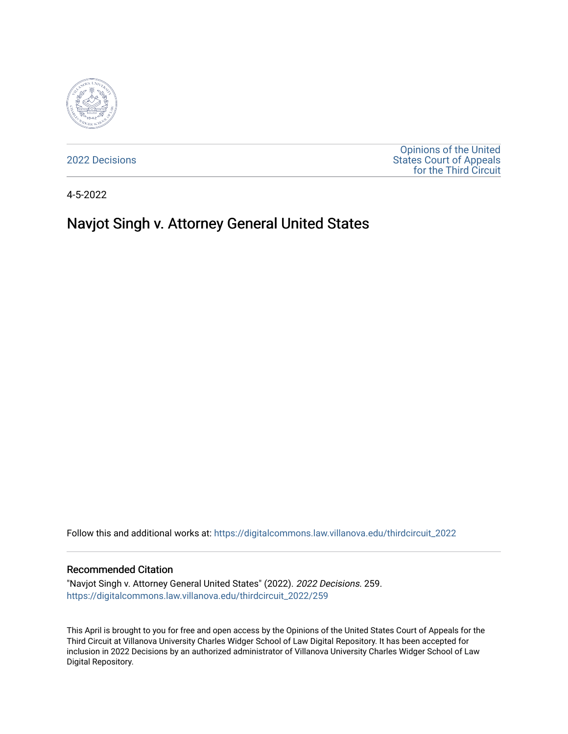

[2022 Decisions](https://digitalcommons.law.villanova.edu/thirdcircuit_2022)

[Opinions of the United](https://digitalcommons.law.villanova.edu/thirdcircuit)  [States Court of Appeals](https://digitalcommons.law.villanova.edu/thirdcircuit)  [for the Third Circuit](https://digitalcommons.law.villanova.edu/thirdcircuit) 

4-5-2022

# Navjot Singh v. Attorney General United States

Follow this and additional works at: [https://digitalcommons.law.villanova.edu/thirdcircuit\\_2022](https://digitalcommons.law.villanova.edu/thirdcircuit_2022?utm_source=digitalcommons.law.villanova.edu%2Fthirdcircuit_2022%2F259&utm_medium=PDF&utm_campaign=PDFCoverPages) 

#### Recommended Citation

"Navjot Singh v. Attorney General United States" (2022). 2022 Decisions. 259. [https://digitalcommons.law.villanova.edu/thirdcircuit\\_2022/259](https://digitalcommons.law.villanova.edu/thirdcircuit_2022/259?utm_source=digitalcommons.law.villanova.edu%2Fthirdcircuit_2022%2F259&utm_medium=PDF&utm_campaign=PDFCoverPages)

This April is brought to you for free and open access by the Opinions of the United States Court of Appeals for the Third Circuit at Villanova University Charles Widger School of Law Digital Repository. It has been accepted for inclusion in 2022 Decisions by an authorized administrator of Villanova University Charles Widger School of Law Digital Repository.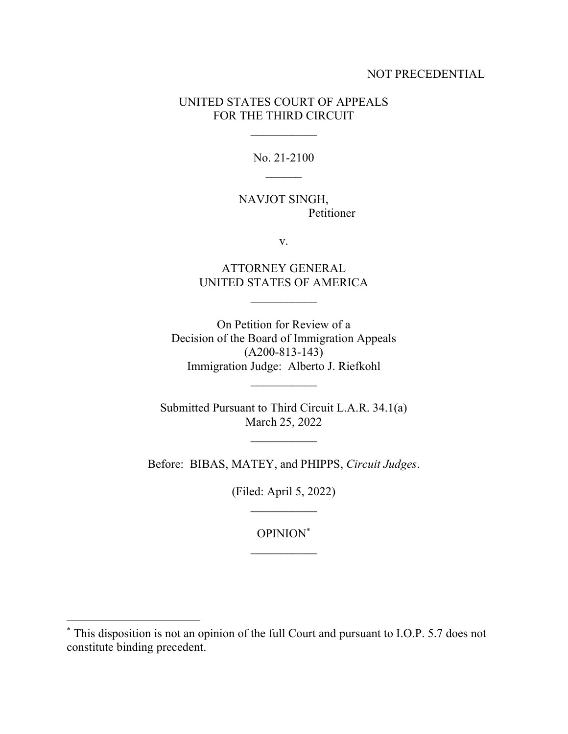#### NOT PRECEDENTIAL

### UNITED STATES COURT OF APPEALS FOR THE THIRD CIRCUIT

No. 21-2100

NAVJOT SINGH, Petitioner

v.

ATTORNEY GENERAL UNITED STATES OF AMERICA

On Petition for Review of a Decision of the Board of Immigration Appeals (A200-813-143) Immigration Judge: Alberto J. Riefkohl

 $\frac{1}{2}$ 

Submitted Pursuant to Third Circuit L.A.R. 34.1(a) March 25, 2022

Before: BIBAS, MATEY, and PHIPPS, *Circuit Judges*.

(Filed: April 5, 2022)

OPINION\*

<sup>\*</sup> This disposition is not an opinion of the full Court and pursuant to I.O.P. 5.7 does not constitute binding precedent.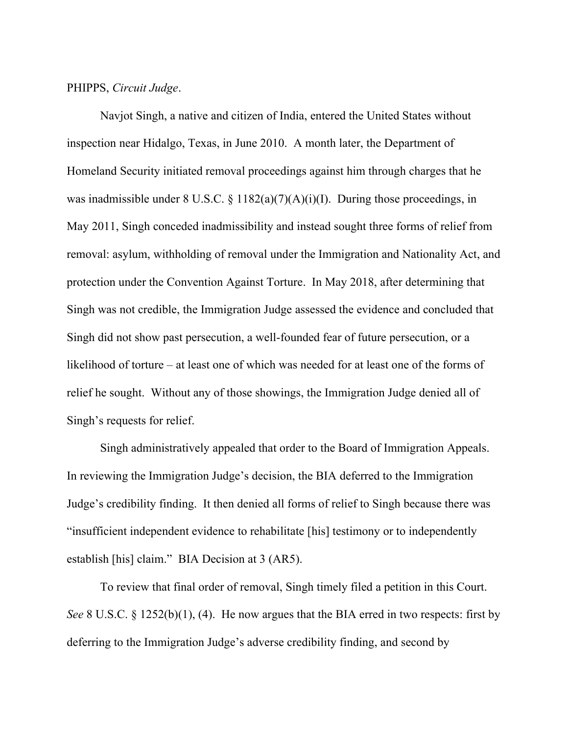#### PHIPPS, *Circuit Judge*.

Navjot Singh, a native and citizen of India, entered the United States without inspection near Hidalgo, Texas, in June 2010. A month later, the Department of Homeland Security initiated removal proceedings against him through charges that he was inadmissible under  $8 \text{ U.S.C.} \$   $1182(a)(7)(A)(i)(I)$ . During those proceedings, in May 2011, Singh conceded inadmissibility and instead sought three forms of relief from removal: asylum, withholding of removal under the Immigration and Nationality Act, and protection under the Convention Against Torture. In May 2018, after determining that Singh was not credible, the Immigration Judge assessed the evidence and concluded that Singh did not show past persecution, a well-founded fear of future persecution, or a likelihood of torture – at least one of which was needed for at least one of the forms of relief he sought. Without any of those showings, the Immigration Judge denied all of Singh's requests for relief.

Singh administratively appealed that order to the Board of Immigration Appeals. In reviewing the Immigration Judge's decision, the BIA deferred to the Immigration Judge's credibility finding. It then denied all forms of relief to Singh because there was "insufficient independent evidence to rehabilitate [his] testimony or to independently establish [his] claim." BIA Decision at 3 (AR5).

To review that final order of removal, Singh timely filed a petition in this Court. *See* 8 U.S.C. § 1252(b)(1), (4). He now argues that the BIA erred in two respects: first by deferring to the Immigration Judge's adverse credibility finding, and second by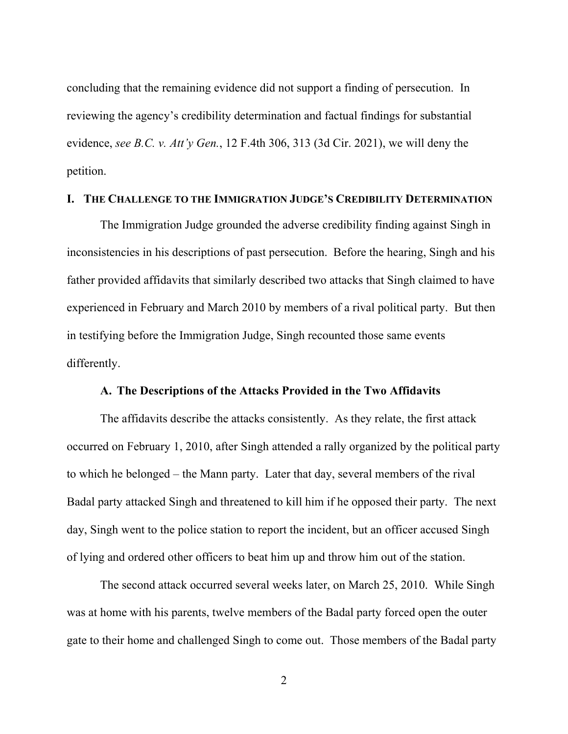concluding that the remaining evidence did not support a finding of persecution. In reviewing the agency's credibility determination and factual findings for substantial evidence, *see B.C. v. Att'y Gen.*, 12 F.4th 306, 313 (3d Cir. 2021), we will deny the petition.

### **I. THE CHALLENGE TO THE IMMIGRATION JUDGE'S CREDIBILITY DETERMINATION**

The Immigration Judge grounded the adverse credibility finding against Singh in inconsistencies in his descriptions of past persecution. Before the hearing, Singh and his father provided affidavits that similarly described two attacks that Singh claimed to have experienced in February and March 2010 by members of a rival political party. But then in testifying before the Immigration Judge, Singh recounted those same events differently.

#### **A. The Descriptions of the Attacks Provided in the Two Affidavits**

The affidavits describe the attacks consistently. As they relate, the first attack occurred on February 1, 2010, after Singh attended a rally organized by the political party to which he belonged – the Mann party. Later that day, several members of the rival Badal party attacked Singh and threatened to kill him if he opposed their party. The next day, Singh went to the police station to report the incident, but an officer accused Singh of lying and ordered other officers to beat him up and throw him out of the station.

The second attack occurred several weeks later, on March 25, 2010. While Singh was at home with his parents, twelve members of the Badal party forced open the outer gate to their home and challenged Singh to come out. Those members of the Badal party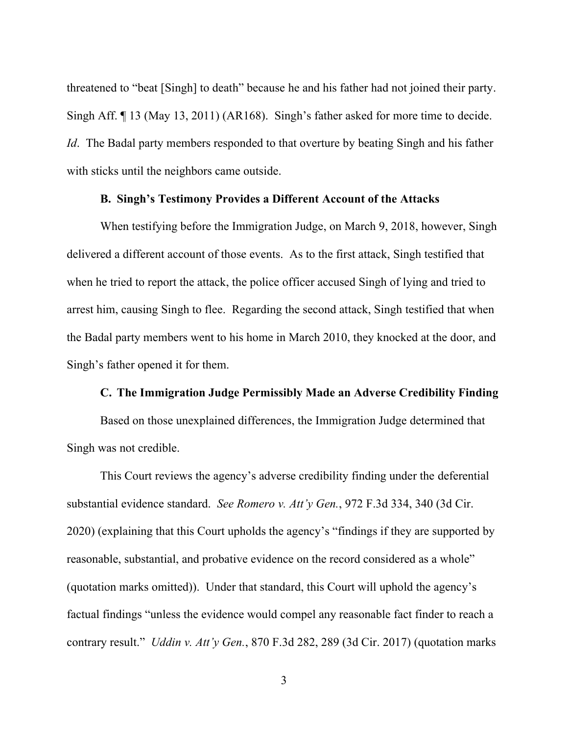threatened to "beat [Singh] to death" because he and his father had not joined their party. Singh Aff. ¶ 13 (May 13, 2011) (AR168). Singh's father asked for more time to decide. *Id*. The Badal party members responded to that overture by beating Singh and his father with sticks until the neighbors came outside.

# **B. Singh's Testimony Provides a Different Account of the Attacks**

When testifying before the Immigration Judge, on March 9, 2018, however, Singh delivered a different account of those events. As to the first attack, Singh testified that when he tried to report the attack, the police officer accused Singh of lying and tried to arrest him, causing Singh to flee. Regarding the second attack, Singh testified that when the Badal party members went to his home in March 2010, they knocked at the door, and Singh's father opened it for them.

# **C. The Immigration Judge Permissibly Made an Adverse Credibility Finding**

Based on those unexplained differences, the Immigration Judge determined that Singh was not credible.

This Court reviews the agency's adverse credibility finding under the deferential substantial evidence standard. *See Romero v. Att'y Gen.*, 972 F.3d 334, 340 (3d Cir. 2020) (explaining that this Court upholds the agency's "findings if they are supported by reasonable, substantial, and probative evidence on the record considered as a whole" (quotation marks omitted)). Under that standard, this Court will uphold the agency's factual findings "unless the evidence would compel any reasonable fact finder to reach a contrary result." *Uddin v. Att'y Gen.*, 870 F.3d 282, 289 (3d Cir. 2017) (quotation marks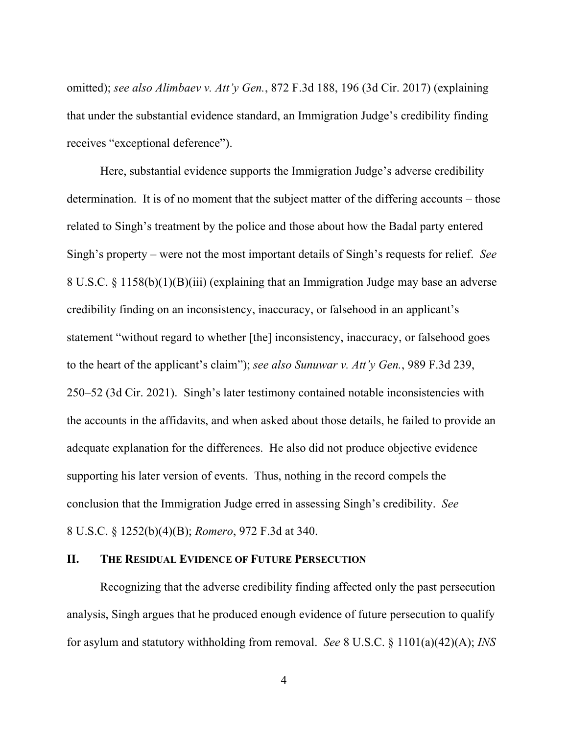omitted); *see also Alimbaev v. Att'y Gen.*, 872 F.3d 188, 196 (3d Cir. 2017) (explaining that under the substantial evidence standard, an Immigration Judge's credibility finding receives "exceptional deference").

Here, substantial evidence supports the Immigration Judge's adverse credibility determination. It is of no moment that the subject matter of the differing accounts – those related to Singh's treatment by the police and those about how the Badal party entered Singh's property – were not the most important details of Singh's requests for relief. *See*  8 U.S.C. § 1158(b)(1)(B)(iii) (explaining that an Immigration Judge may base an adverse credibility finding on an inconsistency, inaccuracy, or falsehood in an applicant's statement "without regard to whether [the] inconsistency, inaccuracy, or falsehood goes to the heart of the applicant's claim"); *see also Sunuwar v. Att'y Gen.*, 989 F.3d 239, 250–52 (3d Cir. 2021). Singh's later testimony contained notable inconsistencies with the accounts in the affidavits, and when asked about those details, he failed to provide an adequate explanation for the differences. He also did not produce objective evidence supporting his later version of events. Thus, nothing in the record compels the conclusion that the Immigration Judge erred in assessing Singh's credibility. *See*  8 U.S.C. § 1252(b)(4)(B); *Romero*, 972 F.3d at 340.

#### **II. THE RESIDUAL EVIDENCE OF FUTURE PERSECUTION**

Recognizing that the adverse credibility finding affected only the past persecution analysis, Singh argues that he produced enough evidence of future persecution to qualify for asylum and statutory withholding from removal. *See* 8 U.S.C. § 1101(a)(42)(A); *INS*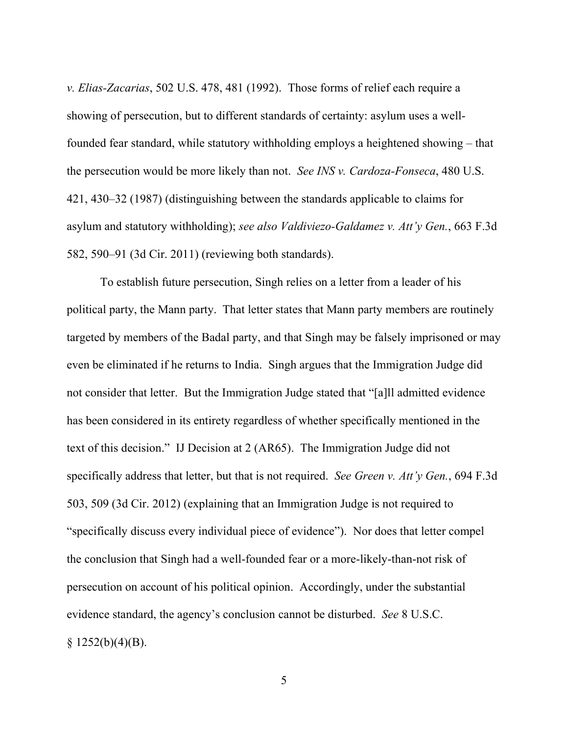*v. Elias-Zacarias*, 502 U.S. 478, 481 (1992). Those forms of relief each require a showing of persecution, but to different standards of certainty: asylum uses a wellfounded fear standard, while statutory withholding employs a heightened showing – that the persecution would be more likely than not. *See INS v. Cardoza-Fonseca*, 480 U.S. 421, 430–32 (1987) (distinguishing between the standards applicable to claims for asylum and statutory withholding); *see also Valdiviezo-Galdamez v. Att'y Gen.*, 663 F.3d 582, 590–91 (3d Cir. 2011) (reviewing both standards).

To establish future persecution, Singh relies on a letter from a leader of his political party, the Mann party. That letter states that Mann party members are routinely targeted by members of the Badal party, and that Singh may be falsely imprisoned or may even be eliminated if he returns to India. Singh argues that the Immigration Judge did not consider that letter. But the Immigration Judge stated that "[a]ll admitted evidence has been considered in its entirety regardless of whether specifically mentioned in the text of this decision." IJ Decision at 2 (AR65). The Immigration Judge did not specifically address that letter, but that is not required. *See Green v. Att'y Gen.*, 694 F.3d 503, 509 (3d Cir. 2012) (explaining that an Immigration Judge is not required to "specifically discuss every individual piece of evidence"). Nor does that letter compel the conclusion that Singh had a well-founded fear or a more-likely-than-not risk of persecution on account of his political opinion. Accordingly, under the substantial evidence standard, the agency's conclusion cannot be disturbed. *See* 8 U.S.C.  $§$  1252(b)(4)(B).